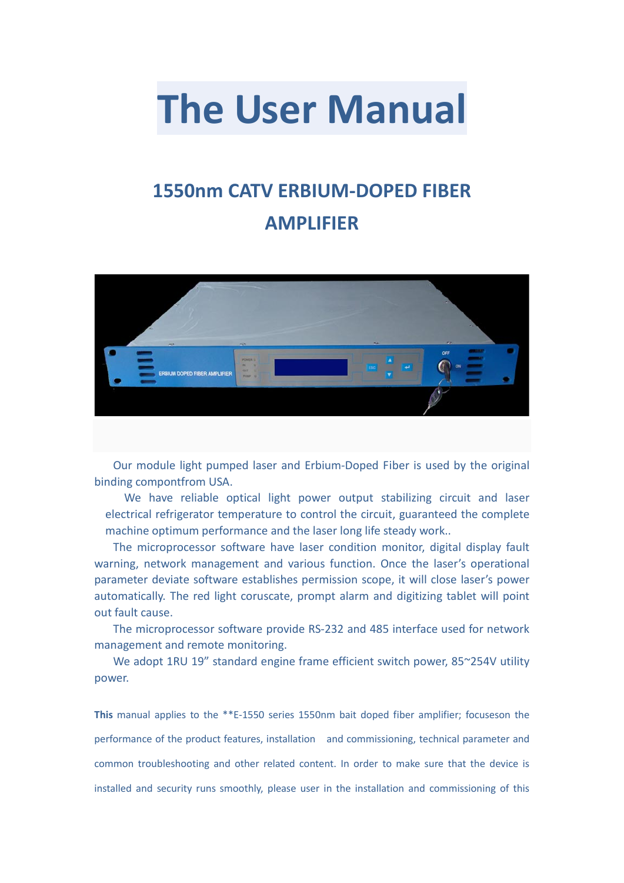# **The User Manual**

# **1550nm CATV ERBIUM-DOPED FIBER AMPLIFIER**



Our module light pumped laser and Erbium-Doped Fiber is used by the original binding compontfrom USA.

We have reliable optical light power output stabilizing circuit and laser electrical refrigerator temperature to control the circuit, guaranteed the complete machine optimum performance and the laser long life steady work..

The microprocessor software have laser condition monitor, digital display fault warning, network management and various function. Once the laser's operational parameter deviate software establishes permission scope, it will close laser's power automatically. The red light coruscate, prompt alarm and digitizing tablet will point out fault cause.

The microprocessor software provide RS-232 and 485 interface used for network management and remote monitoring.

We adopt 1RU 19" standard engine frame efficient switch power, 85~254V utility power.

**This** manual applies to the \*\*E-1550 series 1550nm bait doped fiber amplifier; focuseson the performance of the product features, installation and commissioning, technical parameter and common troubleshooting and other related content. In order to make sure that the device is installed and security runs smoothly, please user in the installation and commissioning of this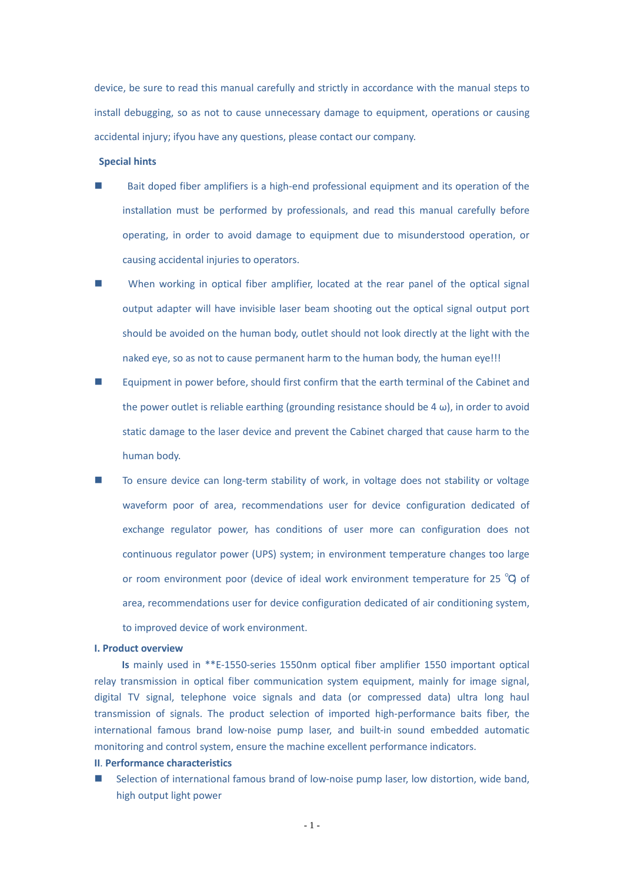device, be sure to read this manual carefully and strictly in accordance with the manual steps to install debugging, so as not to cause unnecessary damage to equipment, operations or causing accidental injury; ifyou have any questions, please contact our company.

#### **Special hints**

- Bait doped fiber amplifiers is a high-end professional equipment and its operation of the installation must be performed by professionals, and read this manual carefully before operating, in order to avoid damage to equipment due to misunderstood operation, or causing accidental injuries to operators.
- **Now** When working in optical fiber amplifier, located at the rear panel of the optical signal output adapter will have invisible laser beam shooting out the optical signal output port should be avoided on the human body, outlet should not look directly at the light with the naked eye, so as not to cause permanent harm to the human body, the human eye!!!
- Equipment in power before, should first confirm that the earth terminal of the Cabinet and the power outlet is reliable earthing (grounding resistance should be 4  $\omega$ ), in order to avoid static damage to the laser device and prevent the Cabinet charged that cause harm to the human body.
- To ensure device can long-term stability of work, in voltage does not stability or voltage waveform poor of area, recommendations user for device configuration dedicated of exchange regulator power, has conditions of user more can configuration does not continuous regulator power (UPS) system; in environment temperature changes too large or room environment poor (device of ideal work environment temperature for 25 ℃) of area, recommendations user for device configuration dedicated of air conditioning system, to improved device of work environment.

#### **I. Product overview**

**Is** mainly used in \*\*E-1550-series 1550nm optical fiber amplifier 1550 important optical relay transmission in optical fiber communication system equipment, mainly for image signal, digital TV signal, telephone voice signals and data (or compressed data) ultra long haul transmission of signals. The product selection of imported high-performance baits fiber, the international famous brand low-noise pump laser, and built-in sound embedded automatic monitoring and control system, ensure the machine excellent performance indicators.

#### **II**. **Performance characteristics**

 Selection of international famous brand of low-noise pump laser, low distortion, wide band, high output light power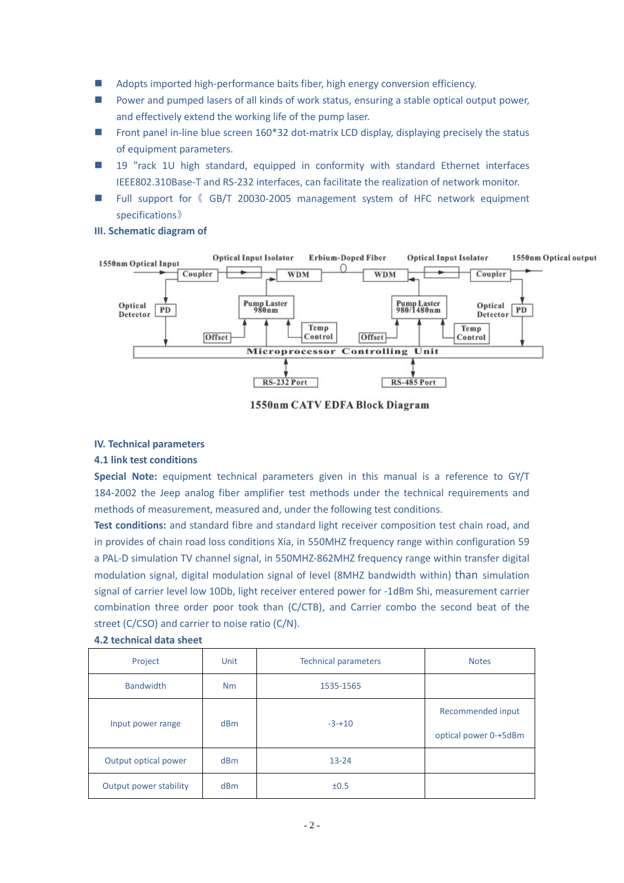- Adopts imported high-performance baits fiber, high energy conversion efficiency.
- Power and pumped lasers of all kinds of work status, ensuring a stable optical output power, and effectively extend the working life of the pump laser.
- Front panel in-line blue screen  $160*32$  dot-matrix LCD display, displaying precisely the status of equipment parameters.
- **19** "rack 1U high standard, equipped in conformity with standard Ethernet interfaces IEEE802.310Base-T and RS-232 interfaces, can facilitate the realization of network monitor.
- Full support for 《 GB/T 20030-2005 management system of HFC network equipment specifications》

#### **III. Schematic diagram of**



1550nm CATV EDFA Block Diagram

#### **IV. Technical parameters**

#### **4.1 link test conditions**

**Special Note:** equipment technical parameters given in this manual is a reference to GY/T 184-2002 the Jeep analog fiber amplifier test methods under the technical requirements and methods of measurement, measured and, under the following test conditions.

**Test conditions:** and standard fibre and standard light receiver composition test chain road, and in provides of chain road loss conditions Xia, in 550MHZ frequency range within configuration 59 a PAL-D simulation TV channel signal, in 550MHZ-862MHZ frequency range within transfer digital modulation signal, digital modulation signal of level (8MHZ bandwidth within) than simulation signal of carrier level low 10Db, light receiver entered power for -1dBm Shi, measurement carrier combination three order poor took than (C/CTB), and Carrier combo the second beat of the street (C/CSO) and carrier to noise ratio (C/N).

| Project                | Unit            | <b>Technical parameters</b> | <b>Notes</b>                               |
|------------------------|-----------------|-----------------------------|--------------------------------------------|
| <b>Bandwidth</b>       | Nm              | 1535-1565                   |                                            |
| Input power range      | d <sub>Bm</sub> | $-3-10$                     | Recommended input<br>optical power 0-+5dBm |
| Output optical power   | <b>dBm</b>      | $13 - 24$                   |                                            |
| Output power stability | dBm             | ±0.5                        |                                            |

#### **4.2 technical data sheet**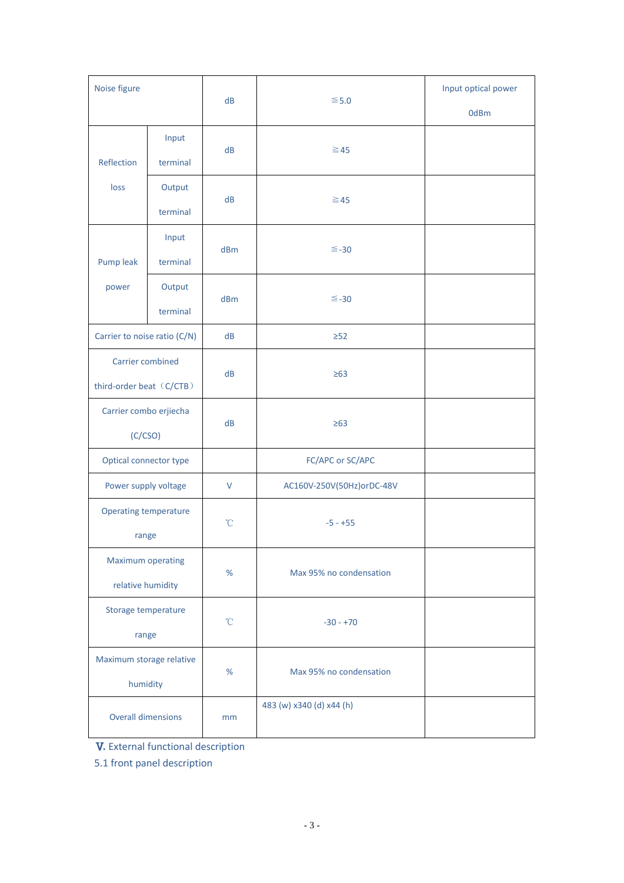| Noise figure                                 |                    | dB                  | $≤ 5.0$                   | Input optical power<br>0dBm |
|----------------------------------------------|--------------------|---------------------|---------------------------|-----------------------------|
| Reflection                                   | Input<br>terminal  | dB                  | $\geq 45$                 |                             |
| loss                                         | Output<br>terminal | dB                  | $\geq 45$                 |                             |
| Pump leak                                    | Input<br>terminal  | dBm                 | $\leq -30$                |                             |
| power                                        | Output<br>terminal | dBm                 | $\leq -30$                |                             |
| Carrier to noise ratio (C/N)                 |                    | dB                  | $\geq$ 52                 |                             |
| Carrier combined<br>third-order beat (C/CTB) |                    | dB                  | $\geq 63$                 |                             |
| Carrier combo erjiecha<br>(C/CSO)            |                    | dB                  | $\geq 63$                 |                             |
| Optical connector type                       |                    |                     | FC/APC or SC/APC          |                             |
| Power supply voltage                         |                    | V                   | AC160V-250V(50Hz)orDC-48V |                             |
| <b>Operating temperature</b><br>range        |                    | $^{\circ}$ C        | $-5 - +55$                |                             |
| Maximum operating<br>relative humidity       |                    | %                   | Max 95% no condensation   |                             |
| Storage temperature<br>range                 |                    | $^{\circ}\!{\rm C}$ | $-30 - +70$               |                             |
| Maximum storage relative<br>humidity         |                    | %                   | Max 95% no condensation   |                             |
| <b>Overall dimensions</b>                    |                    | mm                  | 483 (w) x340 (d) x44 (h)  |                             |

**V.** External functional description

5.1 front panel description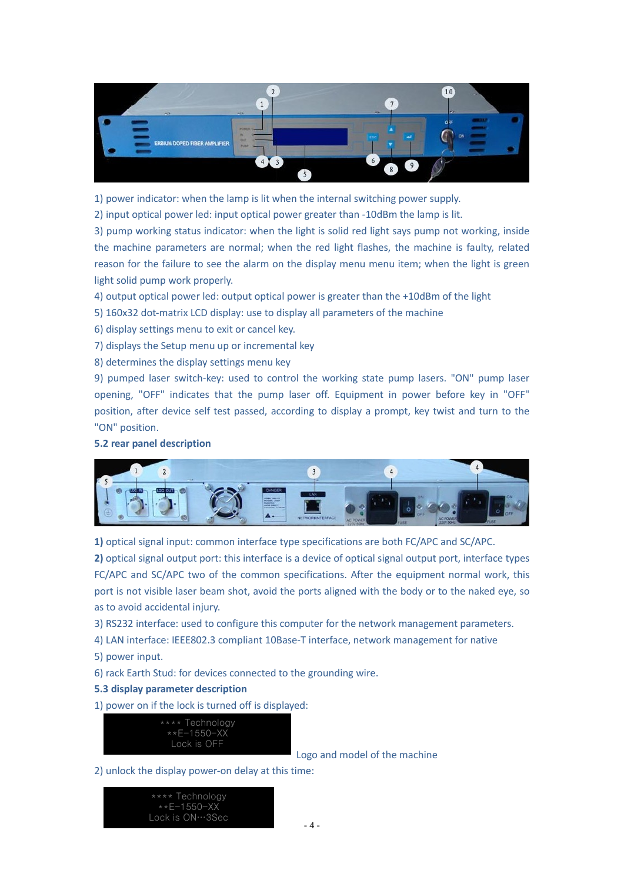

1) power indicator: when the lamp is lit when the internal switching power supply.

2) input optical power led: input optical power greater than -10dBm the lamp is lit.

3) pump working status indicator: when the light is solid red light says pump not working, inside the machine parameters are normal; when the red light flashes, the machine is faulty, related reason for the failure to see the alarm on the display menu menu item; when the light is green light solid pump work properly.

4) output optical power led: output optical power is greater than the +10dBm of the light

- 5) 160x32 dot-matrix LCD display: use to display all parameters of the machine
- 6) display settings menu to exit or cancel key.
- 7) displays the Setup menu up or incremental key
- 8) determines the display settings menu key

9) pumped laser switch-key: used to control the working state pump lasers. "ON" pump laser opening, "OFF" indicates that the pump laser off. Equipment in power before key in "OFF" position, after device self test passed, according to display a prompt, key twist and turn to the "ON" position.

#### **5.2 rear panel description**



**1)** optical signal input: common interface type specifications are both FC/APC and SC/APC.

**2)** optical signal output port: this interface is a device of optical signal output port, interface types FC/APC and SC/APC two of the common specifications. After the equipment normal work, this port is not visible laser beam shot, avoid the ports aligned with the body or to the naked eye, so as to avoid accidental injury.

3) RS232 interface: used to configure this computer for the network management parameters.

4) LAN interface: IEEE802.3 compliant 10Base-T interface, network management for native

- 5) power input.
- 6) rack Earth Stud: for devices connected to the grounding wire.

#### **5.3 display parameter description**

1) power on if the lock is turned off is displayed:



Logo and model of the machine

2) unlock the display power-on delay at this time:

\*\*\*\* Technology \*\*E-1550-XX Lock is ON…3Sec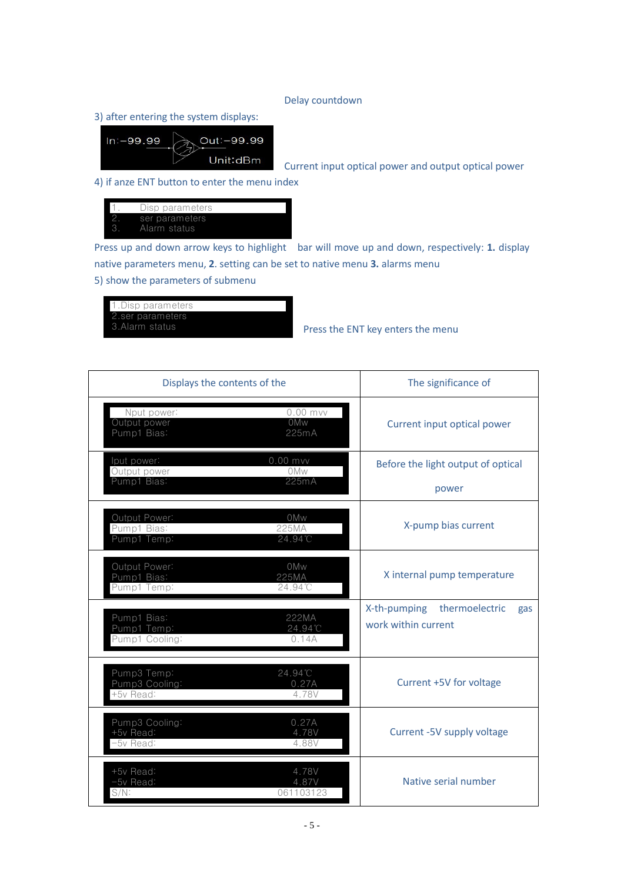#### Delay countdown

3) after entering the system displays:



Current input optical power and output optical power

4) if anze ENT button to enter the menu index



Press up and down arrow keys to highlight bar will move up and down, respectively: **1.** display native parameters menu, **2**. setting can be set to native menu **3.** alarms menu

5) show the parameters of submenu



Press the ENT key enters the menu

| Displays the contents of the                 |                             | The significance of                                          |
|----------------------------------------------|-----------------------------|--------------------------------------------------------------|
| Nput power:<br>Output power<br>Pump1 Bias:   | $0.00$ mvv<br>0Mw<br>225mA  | Current input optical power                                  |
| lput power:<br>Output power<br>Pump1 Bias:   | $0.00$ mvv<br>0Mw<br>225mA  | Before the light output of optical<br>power                  |
| Output Power:<br>Pump1 Bias:<br>Pump1 Temp:  | 0Mw<br>225MA<br>24.94°C     | X-pump bias current                                          |
| Output Power:<br>Pump1 Bias:<br>Pump1 Temp:  | 0Mw<br>225MA<br>24.94°C     | X internal pump temperature                                  |
| Pump1 Bias:<br>Pump1 Temp:<br>Pump1 Cooling: | 222MA<br>24.94°C<br>0.14A   | thermoelectric<br>X-th-pumping<br>gas<br>work within current |
| Pump3 Temp:<br>Pump3 Cooling:<br>+5v Read:   | 24.94°C<br>0.27A<br>4.78V   | Current +5V for voltage                                      |
| Pump3 Cooling:<br>+5v Read:<br>-5v Read:     | 0.27A<br>4.78V<br>4.88V     | Current -5V supply voltage                                   |
| +5v Read:<br>-5v Read:<br>$S/N$ :            | 4.78V<br>4.87V<br>061103123 | Native serial number                                         |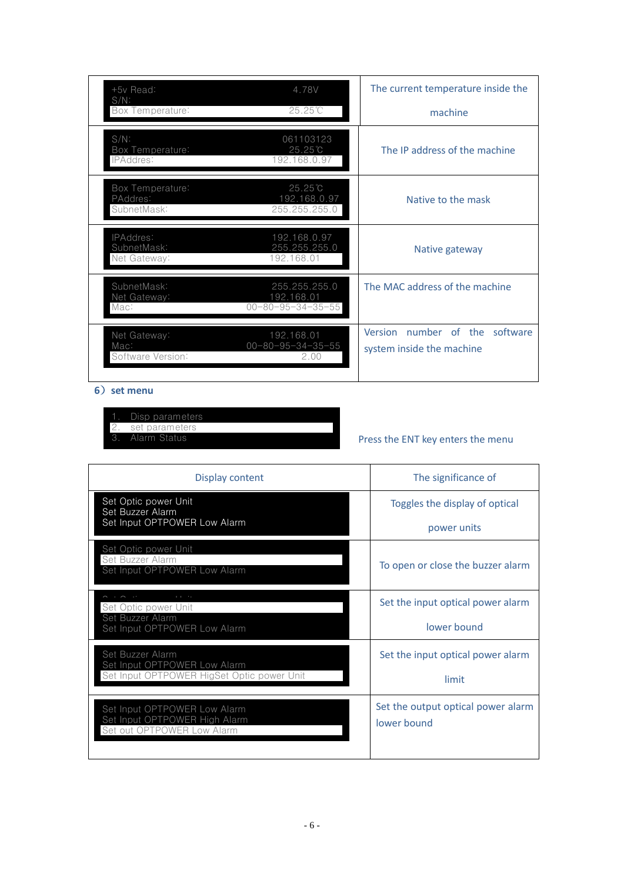| +5y Read:<br>$S/N$ :                        | 4.78V                                                        | The current temperature inside the                          |
|---------------------------------------------|--------------------------------------------------------------|-------------------------------------------------------------|
| Box Temperature:                            | $25.25^{\circ}$ C                                            | machine                                                     |
| $S/N$ :<br>Box Temperature:<br>IPAddres:    | 061103123<br>25.25C<br>192.168.0.97                          | The IP address of the machine                               |
| Box Temperature:<br>PAddres:<br>SubnetMask: | $25.25^{\circ}$ C<br>192.168.0.97<br>255.255.255.0           | Native to the mask                                          |
| IPAddres:<br>SubnetMask:<br>Net Gateway:    | 192.168.0.97<br>255.255.255.0<br>192.168.01                  | Native gateway                                              |
| SubnetMask:<br>Net Gateway:<br>Mac:         | 255.255.255.0<br>192.168.01<br>$00 - 80 - 95 - 34 - 35 - 55$ | The MAC address of the machine                              |
| Net Gateway:<br>Mac:<br>Software Version:   | 192.168.01<br>$00 - 80 - 95 - 34 - 35 - 55$<br>2.00          | Version number of the software<br>system inside the machine |

#### **6**)**set menu**

- 1. Disp parameters 2. set parameters
- 3. Alarm Status

# Press the ENT key enters the menu

| Display content                                                                                | The significance of                               |
|------------------------------------------------------------------------------------------------|---------------------------------------------------|
| Set Optic power Unit<br>Set Buzzer Alarm<br>Set Input OPTPOWER Low Alarm                       | Toggles the display of optical<br>power units     |
| Set Optic power Unit<br>Set Buzzer Alarm<br>Set Input OPTPOWER Low Alarm                       | To open or close the buzzer alarm                 |
| Set Optic power Unit<br>Set Buzzer Alarm<br>Set Input OPTPOWER Low Alarm                       | Set the input optical power alarm<br>lower bound  |
| Set Buzzer Alarm<br>Set Input OPTPOWER Low Alarm<br>Set Input OPTPOWER HigSet Optic power Unit | Set the input optical power alarm<br>limit        |
| Set Input OPTPOWER Low Alarm<br>Set Input OPTPOWER High Alarm<br>Set out OPTPOWER Low Alarm    | Set the output optical power alarm<br>lower bound |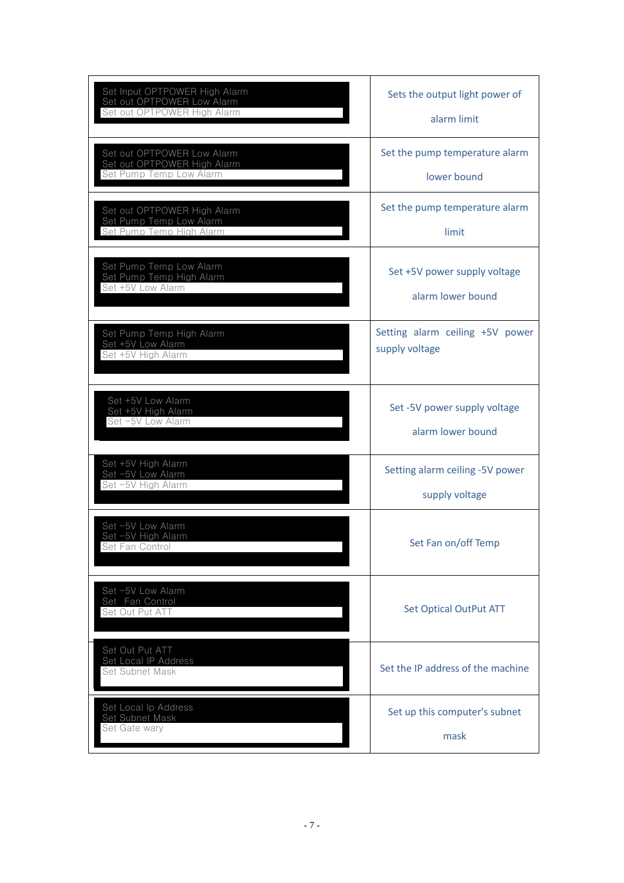| Set Input OPTPOWER High Alarm<br>Set out OPTPOWER Low Alarm<br>Set out OPTPOWER High Alarm | Sets the output light power of<br>alarm limit     |
|--------------------------------------------------------------------------------------------|---------------------------------------------------|
| Set out OPTPOWER Low Alarm<br>Set out OPTPOWER High Alarm<br>Set Pump Temp Low Alarm       | Set the pump temperature alarm<br>lower bound     |
| Set out OPTPOWER High Alarm<br>Set Pump Temp Low Alarm<br>Set Pump Temp High Alarm         | Set the pump temperature alarm<br>limit           |
| Set Pump Temp Low Alarm<br>Set Pump Temp High Alarm<br>Set +5V Low Alarm                   | Set +5V power supply voltage<br>alarm lower bound |
| Set Pump Temp High Alarm<br>Set +5V Low Alarm<br>Set +5V High Alarm                        | Setting alarm ceiling +5V power<br>supply voltage |
| Set +5V Low Alarm<br>Set +5V High Alarm<br>Set -5V Low Alarm                               | Set -5V power supply voltage<br>alarm lower bound |
| Set +5V High Alarm<br>Set -5V Low Alarm<br>Set -5V High Alarm                              | Setting alarm ceiling -5V power<br>supply voltage |
| Set -5V Low Alarm<br>Set -5V High Alarm<br>Set Fan Control                                 | Set Fan on/off Temp                               |
| Set -5V Low Alarm<br>Set Fan Control<br>Set Out Put ATT                                    | <b>Set Optical OutPut ATT</b>                     |
| Set Out Put ATT<br>Set Local IP Address<br>Set Subnet Mask                                 | Set the IP address of the machine                 |
| Set Local Ip Address<br>Set Subnet Mask<br>Set Gate wary                                   | Set up this computer's subnet<br>mask             |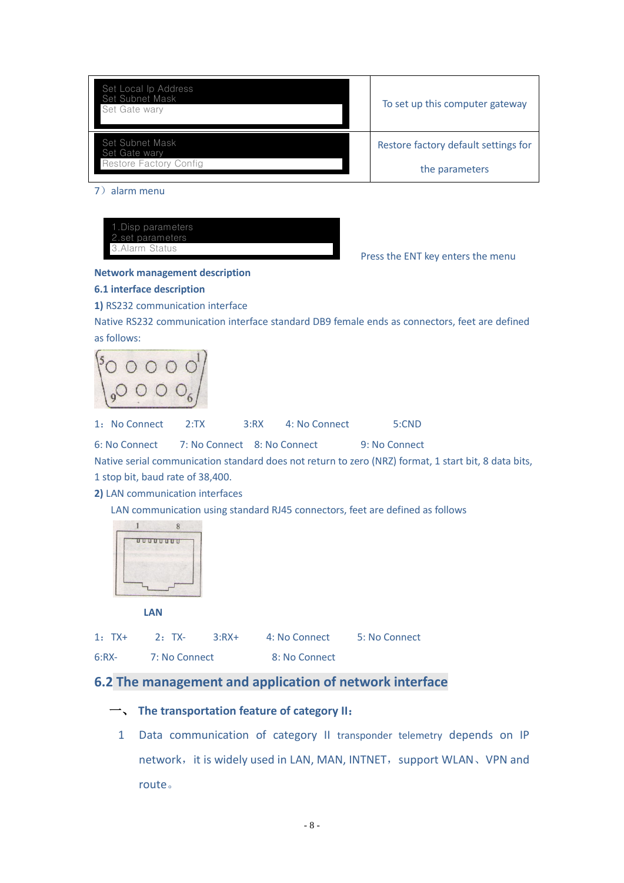| Set Local Ip Address<br>Set Subnet Mask<br>Set Gate wary | To set up this computer gateway      |
|----------------------------------------------------------|--------------------------------------|
| Set Subnet Mask<br>Set Gate wary                         | Restore factory default settings for |
| Restore Factory Config                                   | the parameters                       |

7)alarm menu

| 1. Disp parameters |  |
|--------------------|--|
| 2.set parameters   |  |
| 3. Alarm Status    |  |
|                    |  |

Press the ENT key enters the menu

#### **Network management description**

#### **6.1 interface description**

**1)** RS232 communication interface

Native RS232 communication interface standard DB9 female ends as connectors, feet are defined as follows:

$$
\begin{pmatrix} 50 & 0 & 0 & 0 & 0 \\ 0 & 0 & 0 & 0 & 0 \\ 0 & 0 & 0 & 0 & 0 \\ 0 & 0 & 0 & 0 & 0 \\ 0 & 0 & 0 & 0 & 0 \\ 0 & 0 & 0 & 0 & 0 \\ 0 & 0 & 0 & 0 & 0 \\ 0 & 0 & 0 & 0 & 0 \\ 0 & 0 & 0 & 0 & 0 \\ 0 & 0 & 0 & 0 & 0 \\ 0 & 0 & 0 & 0 & 0 \\ 0 & 0 & 0 & 0 & 0 \\ 0 & 0 & 0 & 0 & 0 \\ 0 & 0 & 0 & 0 & 0 \\ 0 & 0 & 0 & 0 & 0 \\ 0 & 0 & 0 & 0 & 0 & 0 \\ 0 & 0 & 0 & 0 & 0 & 0 \\ 0 & 0 & 0 & 0 & 0 & 0 & 0 \\ 0 & 0 & 0 & 0 & 0 & 0 & 0 \\ 0 & 0 & 0 & 0 & 0 & 0 & 0 \\ 0 & 0 & 0 & 0 & 0 & 0 & 0 \\ 0 & 0 & 0 & 0 & 0 & 0 & 0 \\ 0 & 0 & 0 & 0 & 0 & 0 & 0 \\ 0 & 0 & 0 & 0 & 0 & 0 & 0 \\ 0 & 0 & 0 & 0 & 0 & 0 & 0 \\ 0 & 0 & 0 & 0 & 0 & 0 & 0 \\ 0 & 0 & 0 & 0 & 0 & 0 & 0 \\ 0 & 0 & 0 & 0 & 0 & 0 & 0 \\ 0 & 0 & 0 & 0 & 0 & 0 & 0 \\ 0 & 0 & 0 & 0 & 0 & 0 & 0 \\ 0 & 0 & 0 & 0 & 0 & 0 & 0 \\ 0 & 0 & 0 & 0 & 0 & 0 & 0 \\ 0 & 0 & 0 & 0 & 0 & 0 & 0 \\ 0 & 0 & 0 & 0 & 0 & 0 & 0 \\ 0 & 0 & 0 & 0 & 0 & 0 & 0 \\ 0 & 0 & 0 & 0 & 0 & 0 & 0 \\ 0 & 0 & 0 & 0 & 0 & 0 & 0 \\ 0 & 0 & 0 & 0 & 0 & 0 & 0 \\ 0 & 0 & 0 & 0 & 0 & 0 & 0 \\ 0 & 0 & 0 & 0 & 0 & 0 & 0 \\ 0 & 0 & 0 &
$$

1:No Connect 2:TX 3:RX 4: No Connect 5:CND 6: No Connect 7: No Connect 8: No Connect 9: No Connect

Native serial communication standard does not return to zero (NRZ) format, 1 start bit, 8 data bits, 1 stop bit, baud rate of 38,400.

**2)** LAN communication interfaces

LAN communication using standard RJ45 connectors, feet are defined as follows



| $1:TX+$ | 2: TX-        | $3:RX+$ | 4: No Connect | 5: No Connect |
|---------|---------------|---------|---------------|---------------|
| $6:RX-$ | 7: No Connect |         | 8: No Connect |               |

# **6.2 The management and application of network interface**

## 一、 **The transportation feature of category II**:

1 Data communication of category II transponder telemetry depends on IP network, it is widely used in LAN, MAN, INTNET, support WLAN, VPN and route。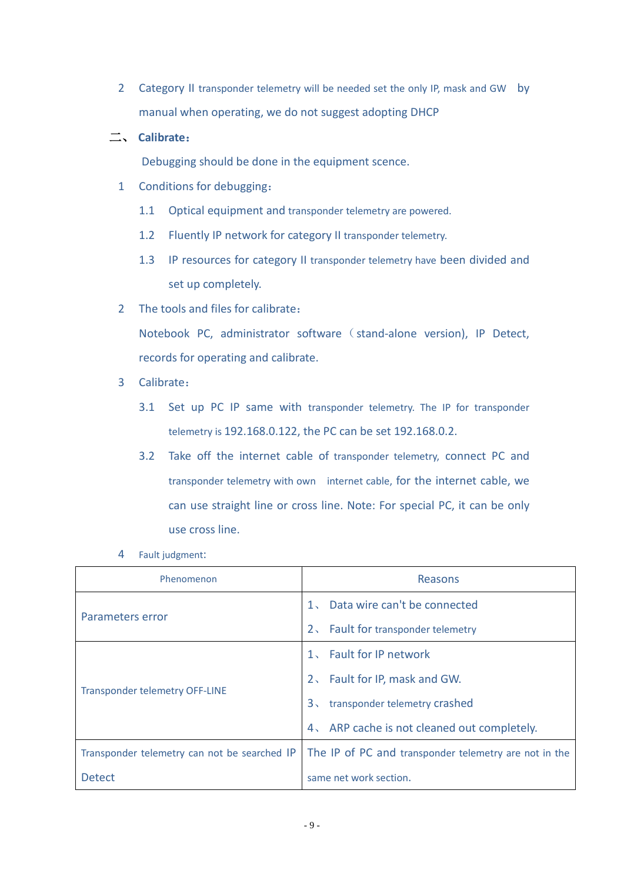2 Category II transponder telemetry will be needed set the only IP, mask and GW by manual when operating, we do not suggest adopting DHCP

## 二、 **Calibrate**:

Debugging should be done in the equipment scence.

- 1 Conditions for debugging:
	- 1.1 Optical equipment and transponder telemetry are powered.
	- 1.2 Fluently IP network for category II transponder telemetry.
	- 1.3 IP resources for category II transponder telemetry have been divided and set up completely.
- 2 The tools and files for calibrate:

Notebook PC, administrator software (stand-alone version), IP Detect, records for operating and calibrate.

- 3 Calibrate:
	- 3.1 Set up PC IP same with transponder telemetry. The IP for transponder telemetry is 192.168.0.122, the PC can be set 192.168.0.2.
	- 3.2 Take off the internet cable of transponder telemetry, connect PC and transponder telemetry with own internet cable, for the internet cable, we can use straight line or cross line. Note: For special PC, it can be only use cross line.
- 4 Fault judgment:

| Phenomenon                                   | Reasons                                               |
|----------------------------------------------|-------------------------------------------------------|
|                                              | 1. Data wire can't be connected                       |
| Parameters error                             | Fault for transponder telemetry<br>2 <sub>1</sub>     |
|                                              | 1. Fault for IP network                               |
| <b>Transponder telemetry OFF-LINE</b>        | 2. Fault for IP, mask and GW.                         |
|                                              | transponder telemetry crashed<br>$3\sqrt{ }$          |
|                                              | 4. ARP cache is not cleaned out completely.           |
| Transponder telemetry can not be searched IP | The IP of PC and transponder telemetry are not in the |
| <b>Detect</b>                                | same net work section.                                |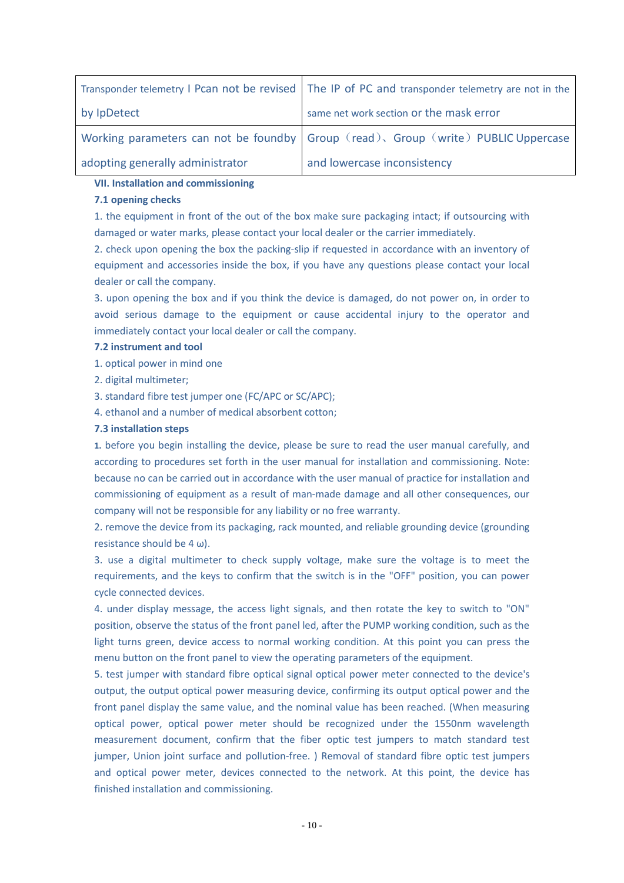|                                  | Transponder telemetry I Pcan not be revised   The IP of PC and transponder telemetry are not in the |
|----------------------------------|-----------------------------------------------------------------------------------------------------|
| by IpDetect                      | same net work section or the mask error                                                             |
|                                  | Working parameters can not be foundby Group (read), Group (write) PUBLIC Uppercase                  |
| adopting generally administrator | and lowercase inconsistency                                                                         |

#### **VII. Installation and commissioning**

#### **7.1 opening checks**

1. the equipment in front of the out of the box make sure packaging intact; if outsourcing with damaged or water marks, please contact your local dealer or the carrier immediately.

2. check upon opening the box the packing-slip if requested in accordance with an inventory of equipment and accessories inside the box, if you have any questions please contact your local dealer or call the company.

3. upon opening the box and if you think the device is damaged, do not power on, in order to avoid serious damage to the equipment or cause accidental injury to the operator and immediately contact your local dealer or call the company.

#### **7.2 instrument and tool**

1. optical power in mind one

2. digital multimeter;

3. standard fibre test jumper one (FC/APC or SC/APC);

4. ethanol and a number of medical absorbent cotton;

#### **7.3 installation steps**

**1.** before you begin installing the device, please be sure to read the user manual carefully, and according to procedures set forth in the user manual for installation and commissioning. Note: because no can be carried out in accordance with the user manual of practice for installation and commissioning of equipment as a result of man-made damage and all other consequences, our company will not be responsible for any liability or no free warranty.

2. remove the device from its packaging, rack mounted, and reliable grounding device (grounding resistance should be 4 ω).

3. use a digital multimeter to check supply voltage, make sure the voltage is to meet the requirements, and the keys to confirm that the switch is in the "OFF" position, you can power cycle connected devices.

4. under display message, the access light signals, and then rotate the key to switch to "ON" position, observe the status of the front panel led, after the PUMP working condition, such as the light turns green, device access to normal working condition. At this point you can press the menu button on the front panel to view the operating parameters of the equipment.

5. test jumper with standard fibre optical signal optical power meter connected to the device's output, the output optical power measuring device, confirming its output optical power and the front panel display the same value, and the nominal value has been reached. (When measuring optical power, optical power meter should be recognized under the 1550nm wavelength measurement document, confirm that the fiber optic test jumpers to match standard test jumper, Union joint surface and pollution-free. ) Removal of standard fibre optic test jumpers and optical power meter, devices connected to the network. At this point, the device has finished installation and commissioning.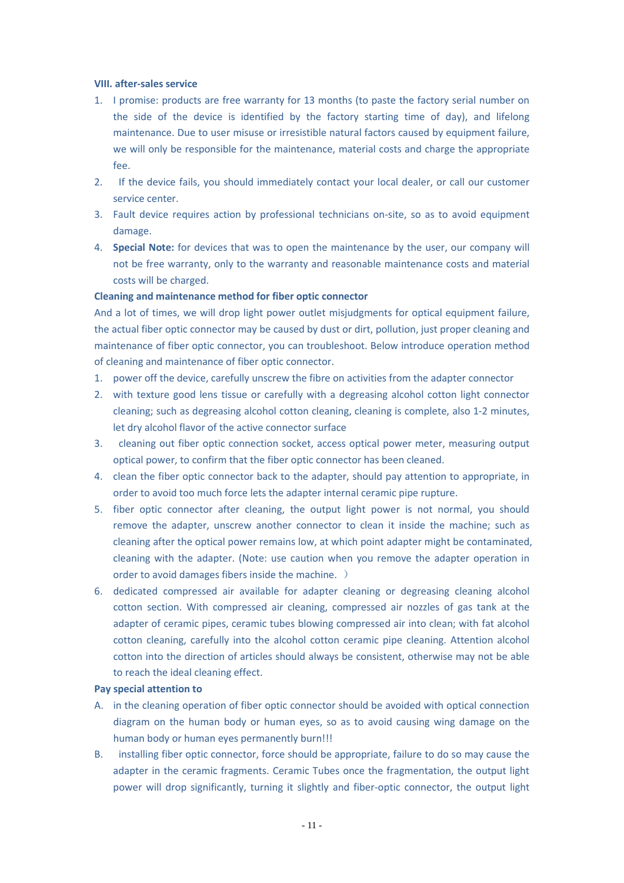#### **VIII. after-sales service**

- 1. I promise: products are free warranty for 13 months (to paste the factory serial number on the side of the device is identified by the factory starting time of day), and lifelong maintenance. Due to user misuse or irresistible natural factors caused by equipment failure, we will only be responsible for the maintenance, material costs and charge the appropriate fee.
- 2. If the device fails, you should immediately contact your local dealer, or call our customer service center.
- 3. Fault device requires action by professional technicians on-site, so as to avoid equipment damage.
- 4. **Special Note:** for devices that was to open the maintenance by the user, our company will not be free warranty, only to the warranty and reasonable maintenance costs and material costs will be charged.

#### **Cleaning and maintenance method for fiber optic connector**

And a lot of times, we will drop light power outlet misjudgments for optical equipment failure, the actual fiber optic connector may be caused by dust or dirt, pollution, just proper cleaning and maintenance of fiber optic connector, you can troubleshoot. Below introduce operation method of cleaning and maintenance of fiber optic connector.

- 1. power off the device, carefully unscrew the fibre on activities from the adapter connector
- 2. with texture good lens tissue or carefully with a degreasing alcohol cotton light connector cleaning; such as degreasing alcohol cotton cleaning, cleaning is complete, also 1-2 minutes, let dry alcohol flavor of the active connector surface
- 3. cleaning out fiber optic connection socket, access optical power meter, measuring output optical power, to confirm that the fiber optic connector has been cleaned.
- 4. clean the fiber optic connector back to the adapter, should pay attention to appropriate, in order to avoid too much force lets the adapter internal ceramic pipe rupture.
- 5. fiber optic connector after cleaning, the output light power is not normal, you should remove the adapter, unscrew another connector to clean it inside the machine; such as cleaning after the optical power remains low, at which point adapter might be contaminated, cleaning with the adapter. (Note: use caution when you remove the adapter operation in order to avoid damages fibers inside the machine. )
- 6. dedicated compressed air available for adapter cleaning or degreasing cleaning alcohol cotton section. With compressed air cleaning, compressed air nozzles of gas tank at the adapter of ceramic pipes, ceramic tubes blowing compressed air into clean; with fat alcohol cotton cleaning, carefully into the alcohol cotton ceramic pipe cleaning. Attention alcohol cotton into the direction of articles should always be consistent, otherwise may not be able to reach the ideal cleaning effect.

#### **Pay special attention to**

- A. in the cleaning operation of fiber optic connector should be avoided with optical connection diagram on the human body or human eyes, so as to avoid causing wing damage on the human body or human eyes permanently burn!!!
- B. installing fiber optic connector, force should be appropriate, failure to do so may cause the adapter in the ceramic fragments. Ceramic Tubes once the fragmentation, the output light power will drop significantly, turning it slightly and fiber-optic connector, the output light